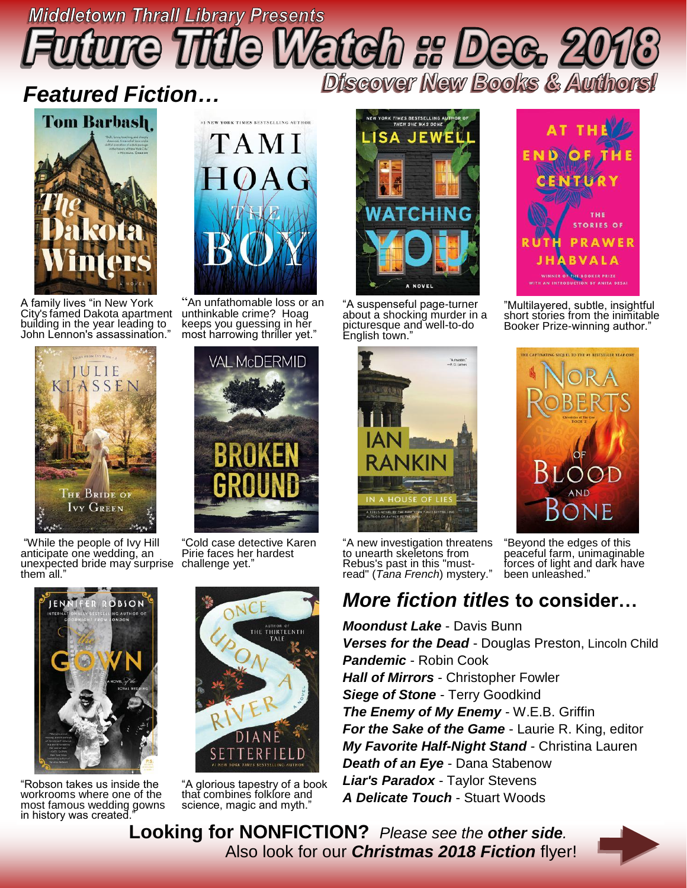## **Middletown Thrall Library Presents** Discover New Books & Authors!

### *Featured Fiction…*



A family lives "in New York City's famed Dakota apartment building in the year leading to John Lennon's assassination."





"An unfathomable loss or an unthinkable crime? Hoag keeps you guessing in her most harrowing thriller yet."

VAL McDERMID

TAMI

"While the people of Ivy Hill anticipate one wedding, an unexpected bride may surprise challenge yet." them all."



"Robson takes us inside the workrooms where one of the most famous wedding gowns in history was created."

"Cold case detective Karen Pirie faces her hardest



"A glorious tapestry of a book that combines folklore and science, magic and myth.



"A suspenseful page-turner about a shocking murder in a picturesque and well-to-do English town."





"Multilayered, subtle, insightful short stories from the inimitable Booker Prize-winning author."



peaceful farm, unimaginable forces of light and dark have

been unleashed."

"A new investigation threatens to unearth skeletons from Rebus's past in this "mustread" (*Tana French*) mystery."

#### *More fiction titles* **to consider…**

*Moondust Lake* - Davis Bunn *Verses for the Dead* - Douglas Preston, Lincoln Child *Pandemic* - Robin Cook *Hall of Mirrors* - Christopher Fowler *Siege of Stone* - Terry Goodkind *The Enemy of My Enemy* - W.E.B. Griffin *For the Sake of the Game* - Laurie R. King, editor *My Favorite Half-Night Stand* - Christina Lauren *Death of an Eye* - Dana Stabenow *Liar's Paradox* - Taylor Stevens *A Delicate Touch* - Stuart Woods

 **Looking for NONFICTION?** *Please see the other side.* Also look for our *Christmas 2018 Fiction* flyer!